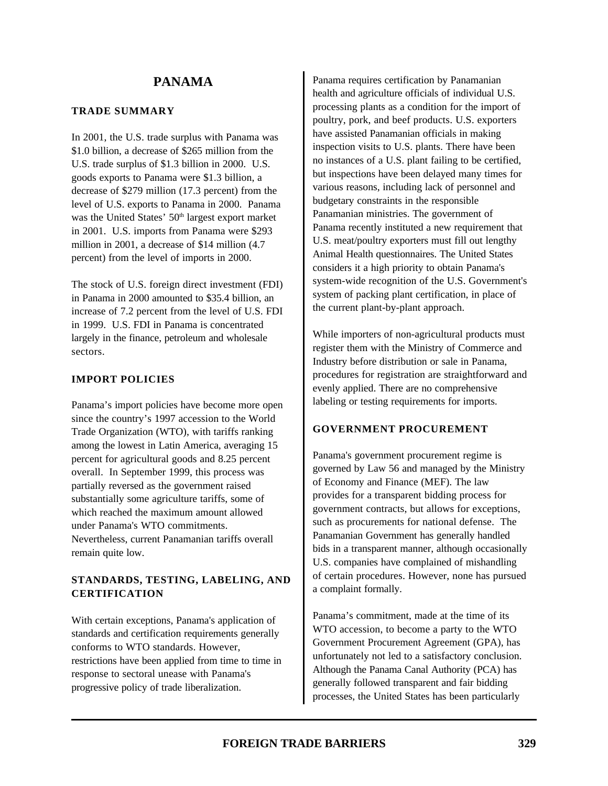#### **TRADE SUMMARY**

In 2001, the U.S. trade surplus with Panama was \$1.0 billion, a decrease of \$265 million from the U.S. trade surplus of \$1.3 billion in 2000. U.S. goods exports to Panama were \$1.3 billion, a decrease of \$279 million (17.3 percent) from the level of U.S. exports to Panama in 2000. Panama was the United States' 50<sup>th</sup> largest export market in 2001. U.S. imports from Panama were \$293 million in 2001, a decrease of \$14 million (4.7 percent) from the level of imports in 2000.

The stock of U.S. foreign direct investment (FDI) in Panama in 2000 amounted to \$35.4 billion, an increase of 7.2 percent from the level of U.S. FDI in 1999. U.S. FDI in Panama is concentrated largely in the finance, petroleum and wholesale sectors.

### **IMPORT POLICIES**

Panama's import policies have become more open since the country's 1997 accession to the World Trade Organization (WTO), with tariffs ranking among the lowest in Latin America, averaging 15 percent for agricultural goods and 8.25 percent overall. In September 1999, this process was partially reversed as the government raised substantially some agriculture tariffs, some of which reached the maximum amount allowed under Panama's WTO commitments. Nevertheless, current Panamanian tariffs overall remain quite low.

# **STANDARDS, TESTING, LABELING, AND CERTIFICATION**

With certain exceptions, Panama's application of standards and certification requirements generally conforms to WTO standards. However, restrictions have been applied from time to time in response to sectoral unease with Panama's progressive policy of trade liberalization.

Panama requires certification by Panamanian health and agriculture officials of individual U.S. processing plants as a condition for the import of poultry, pork, and beef products. U.S. exporters have assisted Panamanian officials in making inspection visits to U.S. plants. There have been no instances of a U.S. plant failing to be certified, but inspections have been delayed many times for various reasons, including lack of personnel and budgetary constraints in the responsible Panamanian ministries. The government of Panama recently instituted a new requirement that U.S. meat/poultry exporters must fill out lengthy Animal Health questionnaires. The United States considers it a high priority to obtain Panama's system-wide recognition of the U.S. Government's system of packing plant certification, in place of the current plant-by-plant approach.

While importers of non-agricultural products must register them with the Ministry of Commerce and Industry before distribution or sale in Panama, procedures for registration are straightforward and evenly applied. There are no comprehensive labeling or testing requirements for imports.

# **GOVERNMENT PROCUREMENT**

Panama's government procurement regime is governed by Law 56 and managed by the Ministry of Economy and Finance (MEF). The law provides for a transparent bidding process for government contracts, but allows for exceptions, such as procurements for national defense. The Panamanian Government has generally handled bids in a transparent manner, although occasionally U.S. companies have complained of mishandling of certain procedures. However, none has pursued a complaint formally.

Panama's commitment, made at the time of its WTO accession, to become a party to the WTO Government Procurement Agreement (GPA), has unfortunately not led to a satisfactory conclusion. Although the Panama Canal Authority (PCA) has generally followed transparent and fair bidding processes, the United States has been particularly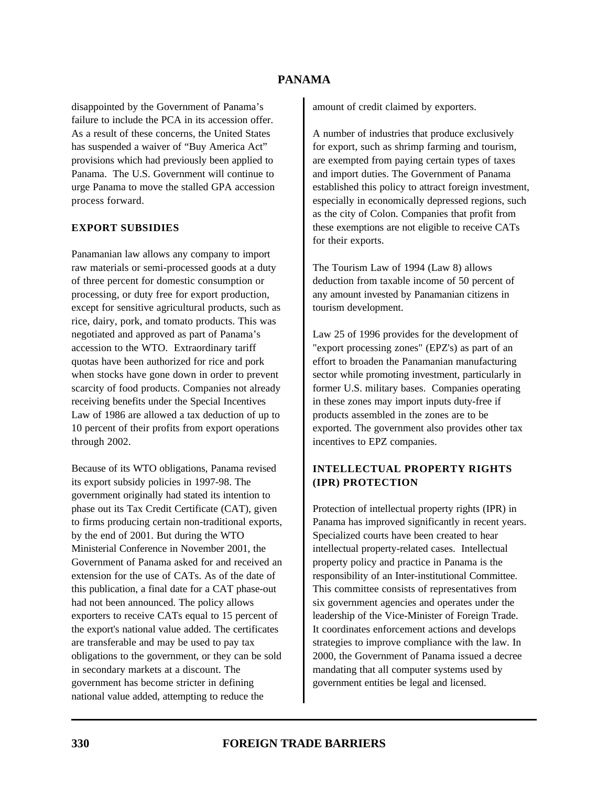disappointed by the Government of Panama's failure to include the PCA in its accession offer. As a result of these concerns, the United States has suspended a waiver of "Buy America Act" provisions which had previously been applied to Panama. The U.S. Government will continue to urge Panama to move the stalled GPA accession process forward.

#### **EXPORT SUBSIDIES**

Panamanian law allows any company to import raw materials or semi-processed goods at a duty of three percent for domestic consumption or processing, or duty free for export production, except for sensitive agricultural products, such as rice, dairy, pork, and tomato products. This was negotiated and approved as part of Panama's accession to the WTO. Extraordinary tariff quotas have been authorized for rice and pork when stocks have gone down in order to prevent scarcity of food products. Companies not already receiving benefits under the Special Incentives Law of 1986 are allowed a tax deduction of up to 10 percent of their profits from export operations through 2002.

Because of its WTO obligations, Panama revised its export subsidy policies in 1997-98. The government originally had stated its intention to phase out its Tax Credit Certificate (CAT), given to firms producing certain non-traditional exports, by the end of 2001. But during the WTO Ministerial Conference in November 2001, the Government of Panama asked for and received an extension for the use of CATs. As of the date of this publication, a final date for a CAT phase-out had not been announced. The policy allows exporters to receive CATs equal to 15 percent of the export's national value added. The certificates are transferable and may be used to pay tax obligations to the government, or they can be sold in secondary markets at a discount. The government has become stricter in defining national value added, attempting to reduce the

amount of credit claimed by exporters.

A number of industries that produce exclusively for export, such as shrimp farming and tourism, are exempted from paying certain types of taxes and import duties. The Government of Panama established this policy to attract foreign investment, especially in economically depressed regions, such as the city of Colon. Companies that profit from these exemptions are not eligible to receive CATs for their exports.

The Tourism Law of 1994 (Law 8) allows deduction from taxable income of 50 percent of any amount invested by Panamanian citizens in tourism development.

Law 25 of 1996 provides for the development of "export processing zones" (EPZ's) as part of an effort to broaden the Panamanian manufacturing sector while promoting investment, particularly in former U.S. military bases. Companies operating in these zones may import inputs duty-free if products assembled in the zones are to be exported. The government also provides other tax incentives to EPZ companies.

# **INTELLECTUAL PROPERTY RIGHTS (IPR) PROTECTION**

Protection of intellectual property rights (IPR) in Panama has improved significantly in recent years. Specialized courts have been created to hear intellectual property-related cases. Intellectual property policy and practice in Panama is the responsibility of an Inter-institutional Committee. This committee consists of representatives from six government agencies and operates under the leadership of the Vice-Minister of Foreign Trade. It coordinates enforcement actions and develops strategies to improve compliance with the law. In 2000, the Government of Panama issued a decree mandating that all computer systems used by government entities be legal and licensed.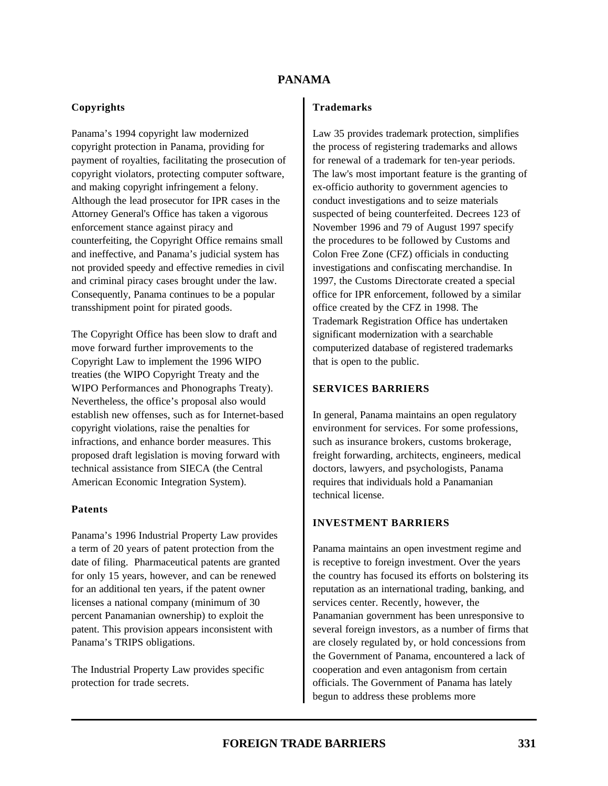### **Copyrights**

Panama's 1994 copyright law modernized copyright protection in Panama, providing for payment of royalties, facilitating the prosecution of copyright violators, protecting computer software, and making copyright infringement a felony. Although the lead prosecutor for IPR cases in the Attorney General's Office has taken a vigorous enforcement stance against piracy and counterfeiting, the Copyright Office remains small and ineffective, and Panama's judicial system has not provided speedy and effective remedies in civil and criminal piracy cases brought under the law. Consequently, Panama continues to be a popular transshipment point for pirated goods.

The Copyright Office has been slow to draft and move forward further improvements to the Copyright Law to implement the 1996 WIPO treaties (the WIPO Copyright Treaty and the WIPO Performances and Phonographs Treaty). Nevertheless, the office's proposal also would establish new offenses, such as for Internet-based copyright violations, raise the penalties for infractions, and enhance border measures. This proposed draft legislation is moving forward with technical assistance from SIECA (the Central American Economic Integration System).

#### **Patents**

Panama's 1996 Industrial Property Law provides a term of 20 years of patent protection from the date of filing. Pharmaceutical patents are granted for only 15 years, however, and can be renewed for an additional ten years, if the patent owner licenses a national company (minimum of 30 percent Panamanian ownership) to exploit the patent. This provision appears inconsistent with Panama's TRIPS obligations.

The Industrial Property Law provides specific protection for trade secrets.

#### **Trademarks**

Law 35 provides trademark protection, simplifies the process of registering trademarks and allows for renewal of a trademark for ten-year periods. The law's most important feature is the granting of ex-officio authority to government agencies to conduct investigations and to seize materials suspected of being counterfeited. Decrees 123 of November 1996 and 79 of August 1997 specify the procedures to be followed by Customs and Colon Free Zone (CFZ) officials in conducting investigations and confiscating merchandise. In 1997, the Customs Directorate created a special office for IPR enforcement, followed by a similar office created by the CFZ in 1998. The Trademark Registration Office has undertaken significant modernization with a searchable computerized database of registered trademarks that is open to the public.

### **SERVICES BARRIERS**

In general, Panama maintains an open regulatory environment for services. For some professions, such as insurance brokers, customs brokerage, freight forwarding, architects, engineers, medical doctors, lawyers, and psychologists, Panama requires that individuals hold a Panamanian technical license.

#### **INVESTMENT BARRIERS**

Panama maintains an open investment regime and is receptive to foreign investment. Over the years the country has focused its efforts on bolstering its reputation as an international trading, banking, and services center. Recently, however, the Panamanian government has been unresponsive to several foreign investors, as a number of firms that are closely regulated by, or hold concessions from the Government of Panama, encountered a lack of cooperation and even antagonism from certain officials. The Government of Panama has lately begun to address these problems more